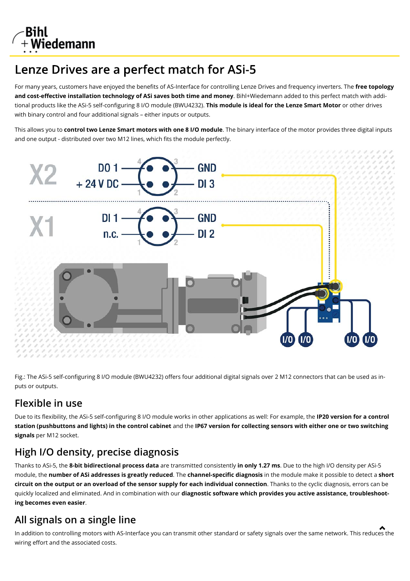

# Lenze Drives are a perfect match for ASi-5

For many years, customers have enjoyed the benefits of AS-Interface for controlling Lenze Drives and frequency inverters. The **free topology and cost-effective installation technology of ASi saves both time and money**. Bihl+Wiedemann added to this perfect match with additional products like the ASi-5 self-configuring 8 I/O module (BWU4232). **This module is ideal for the Lenze Smart Motor** or other drives with binary control and four additional signals – either inputs or outputs.

This allows you to **control two Lenze Smart motors with one 8 I/O module**. The binary interface of the motor provides three digital inputs and one output - distributed over two M12 lines, which fits the module perfectly.



Fig.: The ASi-5 self-configuring 8 I/O module (BWU4232) offers four additional digital signals over 2 M12 connectors that can be used as inputs or outputs.

#### **Flexible in use**

Due to its flexibility, the ASi-5 self-configuring 8 I/O module works in other applications as well: For example, the **IP20 version for a control station (pushbuttons and lights) in the control cabinet** and the **IP67 version for collecting sensors with either one or two switching signals** per M12 socket.

## **High I/O density, precise diagnosis**

Thanks to ASi-5, the **8-bit bidirectional process data** are transmitted consistently **in only 1.27 ms**. Due to the high I/O density per ASi-5 module, the **number of ASi addresses is greatly reduced**. The **channel-specific diagnosis** in the module make it possible to detect a **short circuit on the output or an overload of the sensor supply for each individual connection**. Thanks to the cyclic diagnosis, errors can be quickly localized and eliminated. And in combination with our **diagnostic software which provides you active assistance, troubleshooting becomes even easier**.

#### **All signals on a single line**

In addition to controlling motors with AS-Interface you can transmit other standard or safety signals over the same network. This reduces the wiring effort and the associated costs.